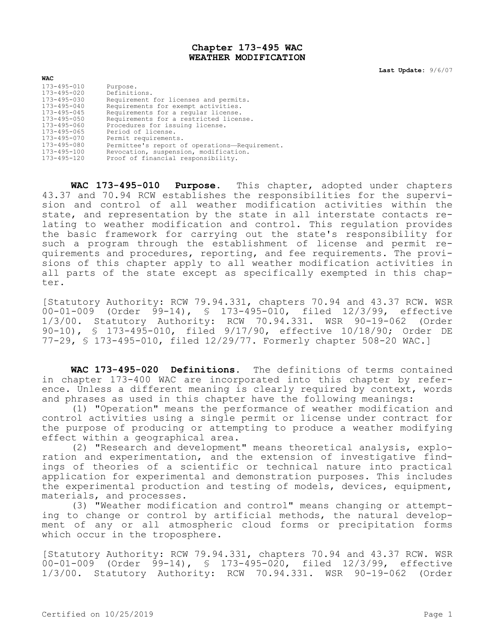## **Chapter 173-495 WAC WEATHER MODIFICATION**

**Last Update:** 9/6/07

| <b>WAC</b>        |                                               |
|-------------------|-----------------------------------------------|
| 173-495-010       | Purpose.                                      |
| 173-495-020       | Definitions.                                  |
| 173-495-030       | Requirement for licenses and permits.         |
| 173-495-040       | Requirements for exempt activities.           |
| $173 - 495 - 045$ | Requirements for a reqular license.           |
| 173-495-050       | Requirements for a restricted license.        |
| 173-495-060       | Procedures for issuing license.               |
| 173-495-065       | Period of license.                            |
| 173-495-070       | Permit requirements.                          |
| 173-495-080       | Permittee's report of operations-Requirement. |
| 173-495-100       | Revocation, suspension, modification.         |
| 173-495-120       | Proof of financial responsibility.            |

**WAC 173-495-010 Purpose.** This chapter, adopted under chapters 43.37 and 70.94 RCW establishes the responsibilities for the supervision and control of all weather modification activities within the state, and representation by the state in all interstate contacts relating to weather modification and control. This regulation provides the basic framework for carrying out the state's responsibility for such a program through the establishment of license and permit requirements and procedures, reporting, and fee requirements. The provisions of this chapter apply to all weather modification activities in all parts of the state except as specifically exempted in this chapter.

[Statutory Authority: RCW 79.94.331, chapters 70.94 and 43.37 RCW. WSR 00-01-009 (Order 99-14), § 173-495-010, filed 12/3/99, effective 1/3/00. Statutory Authority: RCW 70.94.331. WSR 90-19-062 (Order 90-10), § 173-495-010, filed 9/17/90, effective 10/18/90; Order DE 77-29, § 173-495-010, filed 12/29/77. Formerly chapter 508-20 WAC.]

**WAC 173-495-020 Definitions.** The definitions of terms contained in chapter 173-400 WAC are incorporated into this chapter by reference. Unless a different meaning is clearly required by context, words and phrases as used in this chapter have the following meanings:

(1) "Operation" means the performance of weather modification and control activities using a single permit or license under contract for the purpose of producing or attempting to produce a weather modifying effect within a geographical area.

(2) "Research and development" means theoretical analysis, exploration and experimentation, and the extension of investigative findings of theories of a scientific or technical nature into practical application for experimental and demonstration purposes. This includes the experimental production and testing of models, devices, equipment, materials, and processes.

(3) "Weather modification and control" means changing or attempting to change or control by artificial methods, the natural development of any or all atmospheric cloud forms or precipitation forms which occur in the troposphere.

[Statutory Authority: RCW 79.94.331, chapters 70.94 and 43.37 RCW. WSR 00-01-009 (Order 99-14), § 173-495-020, filed 12/3/99, effective 1/3/00. Statutory Authority: RCW 70.94.331. WSR 90-19-062 (Order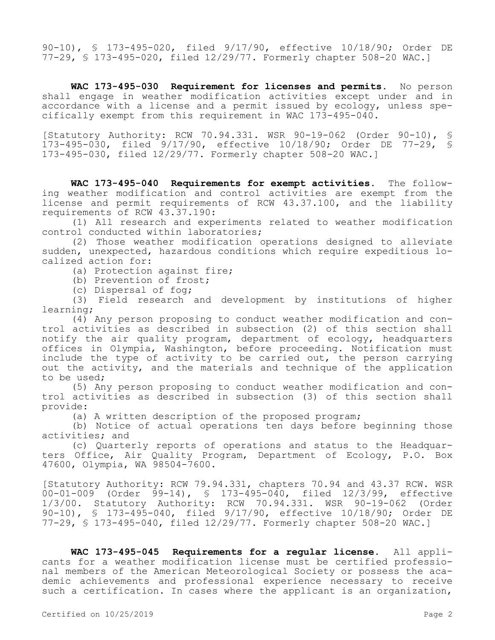90-10), § 173-495-020, filed 9/17/90, effective 10/18/90; Order DE 77-29, § 173-495-020, filed 12/29/77. Formerly chapter 508-20 WAC.]

**WAC 173-495-030 Requirement for licenses and permits.** No person shall engage in weather modification activities except under and in accordance with a license and a permit issued by ecology, unless specifically exempt from this requirement in WAC 173-495-040.

[Statutory Authority: RCW 70.94.331. WSR 90-19-062 (Order 90-10), § 173-495-030, filed 9/17/90, effective 10/18/90; Order DE 77-29, § 173-495-030, filed 12/29/77. Formerly chapter 508-20 WAC.]

**WAC 173-495-040 Requirements for exempt activities.** The following weather modification and control activities are exempt from the license and permit requirements of RCW 43.37.100, and the liability requirements of RCW 43.37.190:

(1) All research and experiments related to weather modification control conducted within laboratories;

(2) Those weather modification operations designed to alleviate sudden, unexpected, hazardous conditions which require expeditious localized action for:

(a) Protection against fire;

(b) Prevention of frost;

(c) Dispersal of fog;

(3) Field research and development by institutions of higher learning;

(4) Any person proposing to conduct weather modification and control activities as described in subsection (2) of this section shall notify the air quality program, department of ecology, headquarters offices in Olympia, Washington, before proceeding. Notification must include the type of activity to be carried out, the person carrying out the activity, and the materials and technique of the application to be used;

(5) Any person proposing to conduct weather modification and control activities as described in subsection (3) of this section shall provide:

(a) A written description of the proposed program;

(b) Notice of actual operations ten days before beginning those activities; and

(c) Quarterly reports of operations and status to the Headquarters Office, Air Quality Program, Department of Ecology, P.O. Box 47600, Olympia, WA 98504-7600.

[Statutory Authority: RCW 79.94.331, chapters 70.94 and 43.37 RCW. WSR 00-01-009 (Order 99-14), § 173-495-040, filed 12/3/99, effective 1/3/00. Statutory Authority: RCW 70.94.331. WSR 90-19-062 (Order 90-10), § 173-495-040, filed 9/17/90, effective 10/18/90; Order DE 77-29, § 173-495-040, filed 12/29/77. Formerly chapter 508-20 WAC.]

**WAC 173-495-045 Requirements for a regular license.** All applicants for a weather modification license must be certified professional members of the American Meteorological Society or possess the academic achievements and professional experience necessary to receive such a certification. In cases where the applicant is an organization,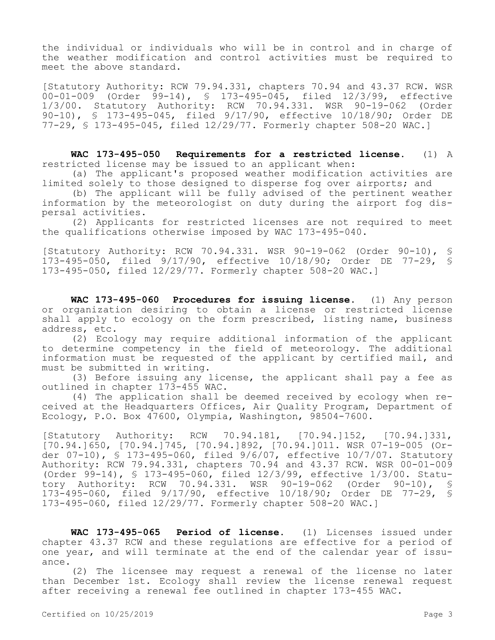the individual or individuals who will be in control and in charge of the weather modification and control activities must be required to meet the above standard.

[Statutory Authority: RCW 79.94.331, chapters 70.94 and 43.37 RCW. WSR 00-01-009 (Order 99-14), § 173-495-045, filed 12/3/99, effective<br>1/3/00. Statutory Authority: RCW 70.94.331. WSR 90-19-062 (Order 1/3/00. Statutory Authority: RCW 70.94.331. WSR 90-19-062 90-10), § 173-495-045, filed 9/17/90, effective 10/18/90; Order DE 77-29, § 173-495-045, filed 12/29/77. Formerly chapter 508-20 WAC.]

**WAC 173-495-050 Requirements for a restricted license.** (1) A restricted license may be issued to an applicant when:

(a) The applicant's proposed weather modification activities are limited solely to those designed to disperse fog over airports; and

(b) The applicant will be fully advised of the pertinent weather information by the meteorologist on duty during the airport fog dispersal activities.

(2) Applicants for restricted licenses are not required to meet the qualifications otherwise imposed by WAC 173-495-040.

[Statutory Authority: RCW 70.94.331. WSR 90-19-062 (Order 90-10), § 173-495-050, filed 9/17/90, effective 10/18/90; Order DE 77-29, § 173-495-050, filed 12/29/77. Formerly chapter 508-20 WAC.]

**WAC 173-495-060 Procedures for issuing license.** (1) Any person or organization desiring to obtain a license or restricted license shall apply to ecology on the form prescribed, listing name, business address, etc.

(2) Ecology may require additional information of the applicant to determine competency in the field of meteorology. The additional information must be requested of the applicant by certified mail, and must be submitted in writing.

(3) Before issuing any license, the applicant shall pay a fee as outlined in chapter 173-455 WAC.

(4) The application shall be deemed received by ecology when received at the Headquarters Offices, Air Quality Program, Department of Ecology, P.O. Box 47600, Olympia, Washington, 98504-7600.

[Statutory Authority: RCW 70.94.181, [70.94.]152, [70.94.]331, [70.94.]650, [70.94.]745, [70.94.]892, [70.94.]011. WSR 07-19-005 (Order 07-10), § 173-495-060, filed 9/6/07, effective 10/7/07. Statutory Authority: RCW 79.94.331, chapters 70.94 and 43.37 RCW. WSR 00-01-009 (Order 99-14), § 173-495-060, filed 12/3/99, effective 1/3/00. Statutory Authority: RCW 70.94.331. WSR 90-19-062 (Order 90-10), § 173-495-060, filed 9/17/90, effective 10/18/90; Order DE 77-29, § 173-495-060, filed 12/29/77. Formerly chapter 508-20 WAC.]

**WAC 173-495-065 Period of license.** (1) Licenses issued under chapter 43.37 RCW and these regulations are effective for a period of one year, and will terminate at the end of the calendar year of issuance.

(2) The licensee may request a renewal of the license no later than December 1st. Ecology shall review the license renewal request after receiving a renewal fee outlined in chapter 173-455 WAC.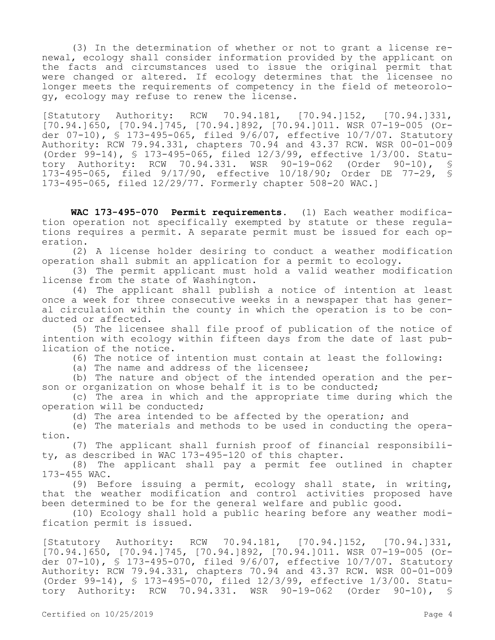(3) In the determination of whether or not to grant a license renewal, ecology shall consider information provided by the applicant on the facts and circumstances used to issue the original permit that were changed or altered. If ecology determines that the licensee no longer meets the requirements of competency in the field of meteorology, ecology may refuse to renew the license.

[Statutory Authority: RCW 70.94.181, [70.94.]152, [70.94.]331, [70.94.]650, [70.94.]745, [70.94.]892, [70.94.]011. WSR 07-19-005 (Order 07-10), § 173-495-065, filed 9/6/07, effective 10/7/07. Statutory Authority: RCW 79.94.331, chapters 70.94 and 43.37 RCW. WSR 00-01-009 (Order 99-14), § 173-495-065, filed 12/3/99, effective 1/3/00. Statutory Authority: RCW 70.94.331. WSR 90-19-062 (Order 90-10), 173-495-065, filed 9/17/90, effective 10/18/90; Order DE 77-29, § 173-495-065, filed 12/29/77. Formerly chapter 508-20 WAC.]

**WAC 173-495-070 Permit requirements.** (1) Each weather modification operation not specifically exempted by statute or these regulations requires a permit. A separate permit must be issued for each operation.

(2) A license holder desiring to conduct a weather modification operation shall submit an application for a permit to ecology.

(3) The permit applicant must hold a valid weather modification license from the state of Washington.

(4) The applicant shall publish a notice of intention at least once a week for three consecutive weeks in a newspaper that has general circulation within the county in which the operation is to be conducted or affected.

(5) The licensee shall file proof of publication of the notice of intention with ecology within fifteen days from the date of last publication of the notice.

(6) The notice of intention must contain at least the following:

(a) The name and address of the licensee;

(b) The nature and object of the intended operation and the person or organization on whose behalf it is to be conducted;

(c) The area in which and the appropriate time during which the operation will be conducted;

(d) The area intended to be affected by the operation; and

(e) The materials and methods to be used in conducting the operation.

(7) The applicant shall furnish proof of financial responsibility, as described in WAC 173-495-120 of this chapter.

(8) The applicant shall pay a permit fee outlined in chapter 173-455 WAC.

(9) Before issuing a permit, ecology shall state, in writing, that the weather modification and control activities proposed have been determined to be for the general welfare and public good.

(10) Ecology shall hold a public hearing before any weather modification permit is issued.

[Statutory Authority: RCW 70.94.181, [70.94.]152, [70.94.]331, [70.94.]650, [70.94.]745, [70.94.]892, [70.94.]011. WSR 07-19-005 (Order 07-10), § 173-495-070, filed 9/6/07, effective 10/7/07. Statutory Authority: RCW 79.94.331, chapters 70.94 and 43.37 RCW. WSR 00-01-009 (Order 99-14), § 173-495-070, filed 12/3/99, effective 1/3/00. Statu-<br>tory Authority: RCW 70.94.331. WSR 90-19-062 (Order 90-10), § tory Authority: RCW 70.94.331. WSR 90-19-062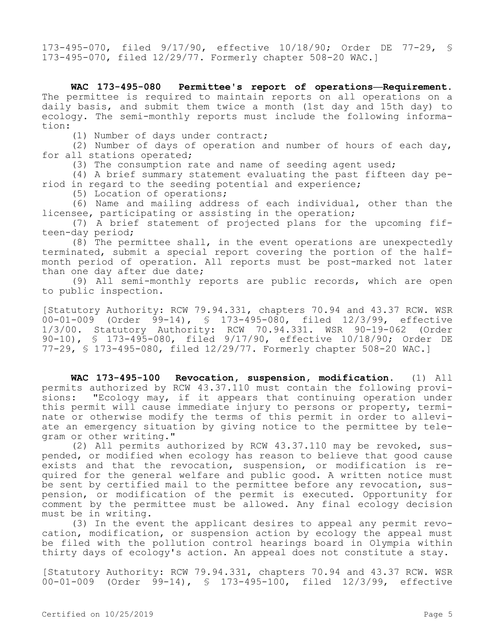173-495-070, filed 9/17/90, effective 10/18/90; Order DE 77-29, § 173-495-070, filed 12/29/77. Formerly chapter 508-20 WAC.]

**WAC 173-495-080 Permittee's report of operations—Requirement.**  The permittee is required to maintain reports on all operations on a daily basis, and submit them twice a month (1st day and 15th day) to ecology. The semi-monthly reports must include the following information:

(1) Number of days under contract;

(2) Number of days of operation and number of hours of each day, for all stations operated;

(3) The consumption rate and name of seeding agent used;

(4) A brief summary statement evaluating the past fifteen day period in regard to the seeding potential and experience;

(5) Location of operations;

(6) Name and mailing address of each individual, other than the licensee, participating or assisting in the operation;

(7) A brief statement of projected plans for the upcoming fifteen-day period;

(8) The permittee shall, in the event operations are unexpectedly terminated, submit a special report covering the portion of the halfmonth period of operation. All reports must be post-marked not later than one day after due date;

(9) All semi-monthly reports are public records, which are open to public inspection.

[Statutory Authority: RCW 79.94.331, chapters 70.94 and 43.37 RCW. WSR 00-01-009 (Order 99-14), § 173-495-080, filed 12/3/99, effective 1/3/00. Statutory Authority: RCW 70.94.331. WSR 90-19-062 (Order 90-10), § 173-495-080, filed 9/17/90, effective 10/18/90; Order DE 77-29, § 173-495-080, filed 12/29/77. Formerly chapter 508-20 WAC.]

**WAC 173-495-100 Revocation, suspension, modification.** (1) All permits authorized by RCW 43.37.110 must contain the following provisions: "Ecology may, if it appears that continuing operation under this permit will cause immediate injury to persons or property, terminate or otherwise modify the terms of this permit in order to alleviate an emergency situation by giving notice to the permittee by telegram or other writing."

(2) All permits authorized by RCW 43.37.110 may be revoked, suspended, or modified when ecology has reason to believe that good cause exists and that the revocation, suspension, or modification is required for the general welfare and public good. A written notice must be sent by certified mail to the permittee before any revocation, suspension, or modification of the permit is executed. Opportunity for comment by the permittee must be allowed. Any final ecology decision must be in writing.

(3) In the event the applicant desires to appeal any permit revocation, modification, or suspension action by ecology the appeal must be filed with the pollution control hearings board in Olympia within thirty days of ecology's action. An appeal does not constitute a stay.

[Statutory Authority: RCW 79.94.331, chapters 70.94 and 43.37 RCW. WSR 00-01-009 (Order 99-14), § 173-495-100, filed 12/3/99, effective